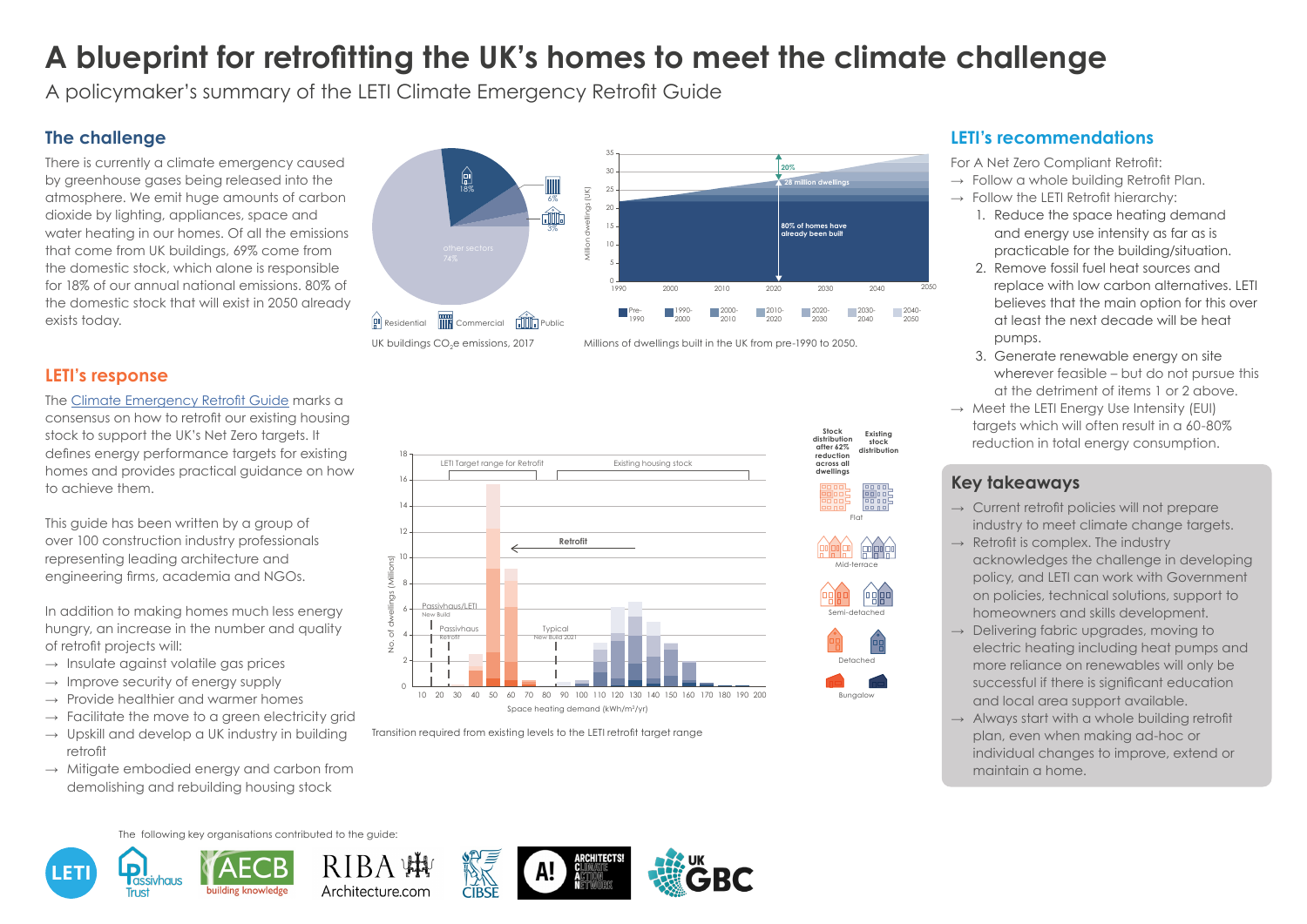



Architecture.com

The following key organisations contributed to the guide:

# **A blueprint for retrofitting the UK's homes to meet the climate challenge**

A policymaker's summary of the LETI Climate Emergency Retrofit Guide

### **The challenge**

There is currently a climate emergency caused by greenhouse gases being released into the atmosphere. We emit huge amounts of carbon dioxide by lighting, appliances, space and water heating in our homes. Of all the emissions that come from UK buildings, 69% come from the domestic stock, which alone is responsible for 18% of our annual national emissions. 80% of the domestic stock that will exist in 2050 already exists today.

- $\rightarrow$  Insulate against volatile gas prices
- $\rightarrow$  Improve security of energy supply
- $\rightarrow$  Provide healthier and warmer homes
- $\rightarrow$  Facilitate the move to a green electricity grid
- $\rightarrow$  Upskill and develop a UK industry in building retrofit
- $\rightarrow$  Mitigate embodied energy and carbon from demolishing and rebuilding housing stock

For A Net Zero Compliant Retrofit:  $\rightarrow$  Follow a whole building Retrofit Plan.  $\rightarrow$  Follow the LETI Retrofit hierarchy:

#### **LETI's response**

The [Climate Emergency Retrofit Guide](http://www.leti.london/retrofit) marks a consensus on how to retrofit our existing housing stock to support the UK's Net Zero targets. It defines energy performance targets for existing homes and provides practical guidance on how to achieve them.

This guide has been written by a group of over 100 construction industry professionals representing leading architecture and engineering firms, academia and NGOs.

18 LETI Target range for Retrofit Existing housing stock  $16$ 14 12 **Retrofit**  $10$ No. of dwellings (Millions) 8 Passivhaus/LETI 6 New Build Typica Passivhaus Retrofit  $\overline{c}$ 4 New Build 2021  $\frac{0}{5}$ 2  $\circ$ 10 20 30 40 50 60 70 80 90 100 110 120 130 140 150 160 170 180 190 200 Space heating demand (kWh/m<sup>2</sup>/yr)

In addition to making homes much less energy hungry, an increase in the number and quality of retrofit projects will:

> Transition required from existing levels to the LETI retrofit target range Detached Mid-Terrace Flat

#### **LETI's recommendations**



 $\rightarrow$  Current retrofit policies will not prepare industry to meet climate change targets.  $\rightarrow$  Retrofit is complex. The industry acknowledges the challenge in developing policy, and LETI can work with Government on policies, technical solutions, support to homeowners and skills development.  $\rightarrow$  Delivering fabric upgrades, moving to electric heating including heat pumps and more reliance on renewables will only be successful if there is significant education and local area support available.  $\rightarrow$  Always start with a whole building retrofit plan, even when making ad-hoc or individual changes to improve, extend or maintain a home.

- 1. Reduce the space heating demand and energy use intensity as far as is practicable for the building/situation. 2. Remove fossil fuel heat sources and replace with low carbon alternatives. LETI believes that the main option for this over at least the next decade will be heat pumps.
- 3. Generate renewable energy on site wherever feasible – but do not pursue this

at the detriment of items 1 or 2 above.  $\rightarrow$  Meet the LETI Energy Use Intensity (EUI) targets which will often result in a 60-80% reduction in total energy consumption.











- 
- 



#### **Key takeaways**